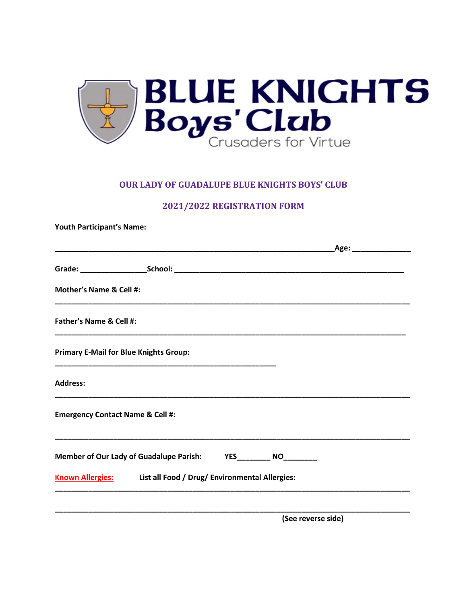

#### **OUR LADY OF GUADALUPE BLUE KNIGHTS BOYS' CLUB**

### 2021/2022 REGISTRATION FORM

**Youth Participant's Name:** 

|                                               |                                                                                      |                    | _Age: __________________ |  |
|-----------------------------------------------|--------------------------------------------------------------------------------------|--------------------|--------------------------|--|
|                                               |                                                                                      |                    |                          |  |
| <b>Mother's Name &amp; Cell #:</b>            |                                                                                      |                    |                          |  |
| Father's Name & Cell #:                       |                                                                                      |                    |                          |  |
| <b>Primary E-Mail for Blue Knights Group:</b> |                                                                                      |                    |                          |  |
| <b>Address:</b>                               | <u> 1989 - Johann John Stone, meny ambany amin'ny fivondronan-kaominin'i Paris (</u> |                    |                          |  |
| <b>Emergency Contact Name &amp; Cell #:</b>   |                                                                                      |                    |                          |  |
|                                               | Member of Our Lady of Guadalupe Parish: YES________ NO________                       |                    |                          |  |
|                                               | Known Allergies: List all Food / Drug/ Environmental Allergies:                      |                    |                          |  |
|                                               |                                                                                      | (See reverse side) |                          |  |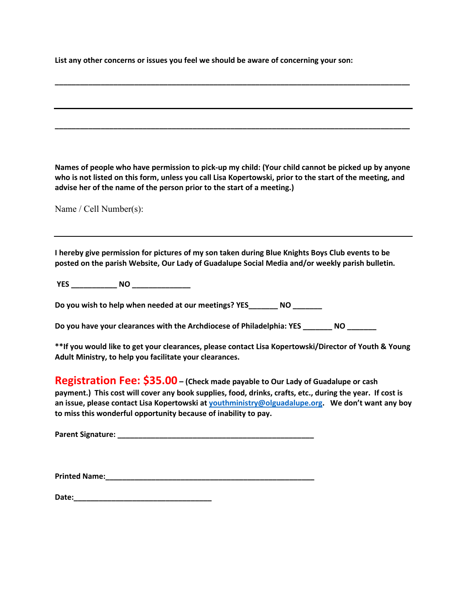**List any other concerns or issues you feel we should be aware of concerning your son:** 

**Names of people who have permission to pick-up my child: (Your child cannot be picked up by anyone who is not listed on this form, unless you call Lisa Kopertowski, prior to the start of the meeting, and advise her of the name of the person prior to the start of a meeting.)** 

**\_\_\_\_\_\_\_\_\_\_\_\_\_\_\_\_\_\_\_\_\_\_\_\_\_\_\_\_\_\_\_\_\_\_\_\_\_\_\_\_\_\_\_\_\_\_\_\_\_\_\_\_\_\_\_\_\_\_\_\_\_\_\_\_\_\_\_\_\_\_\_\_\_\_\_\_\_\_\_\_\_\_\_\_\_**

**\_\_\_\_\_\_\_\_\_\_\_\_\_\_\_\_\_\_\_\_\_\_\_\_\_\_\_\_\_\_\_\_\_\_\_\_\_\_\_\_\_\_\_\_\_\_\_\_\_\_\_\_\_\_\_\_\_\_\_\_\_\_\_\_\_\_\_\_\_\_\_\_\_\_\_\_\_\_\_\_\_\_\_\_\_**

Name / Cell Number(s):

**I hereby give permission for pictures of my son taken during Blue Knights Boys Club events to be posted on the parish Website, Our Lady of Guadalupe Social Media and/or weekly parish bulletin.** 

**YES \_\_\_\_\_\_\_\_\_\_\_ NO \_\_\_\_\_\_\_\_\_\_\_\_\_\_**

**Do you wish to help when needed at our meetings? YES\_\_\_\_\_\_\_ NO \_\_\_\_\_\_\_** 

**Do you have your clearances with the Archdiocese of Philadelphia: YES \_\_\_\_\_\_\_ NO \_\_\_\_\_\_\_** 

**\*\*If you would like to get your clearances, please contact Lisa Kopertowski/Director of Youth & Young Adult Ministry, to help you facilitate your clearances.** 

**Registration Fee: \$35.00 – (Check made payable to Our Lady of Guadalupe or cash payment.) This cost will cover any book supplies, food, drinks, crafts, etc., during the year. If cost is an issue, please contact Lisa Kopertowski at [youthministry@olguadalupe.org.](mailto:youthministry@olguadalupe.org) We don't want any boy to miss this wonderful opportunity because of inability to pay.**

**Parent Signature: \_\_\_\_\_\_\_\_\_\_\_\_\_\_\_\_\_\_\_\_\_\_\_\_\_\_\_\_\_\_\_\_\_\_\_\_\_\_\_\_\_\_\_\_\_\_\_**

**Printed Name:**  $\blacksquare$ 

**Date:**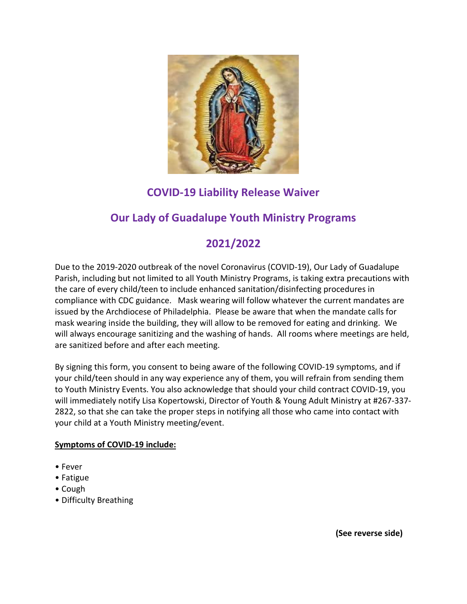

## **COVID-19 Liability Release Waiver**

## **Our Lady of Guadalupe Youth Ministry Programs**

# **2021/2022**

Due to the 2019-2020 outbreak of the novel Coronavirus (COVID-19), Our Lady of Guadalupe Parish, including but not limited to all Youth Ministry Programs, is taking extra precautions with the care of every child/teen to include enhanced sanitation/disinfecting procedures in compliance with CDC guidance. Mask wearing will follow whatever the current mandates are issued by the Archdiocese of Philadelphia. Please be aware that when the mandate calls for mask wearing inside the building, they will allow to be removed for eating and drinking. We will always encourage sanitizing and the washing of hands. All rooms where meetings are held, are sanitized before and after each meeting.

By signing this form, you consent to being aware of the following COVID-19 symptoms, and if your child/teen should in any way experience any of them, you will refrain from sending them to Youth Ministry Events. You also acknowledge that should your child contract COVID-19, you will immediately notify Lisa Kopertowski, Director of Youth & Young Adult Ministry at #267-337- 2822, so that she can take the proper steps in notifying all those who came into contact with your child at a Youth Ministry meeting/event.

### **Symptoms of COVID-19 include:**

- Fever
- Fatigue
- Cough
- Difficulty Breathing

 **(See reverse side)**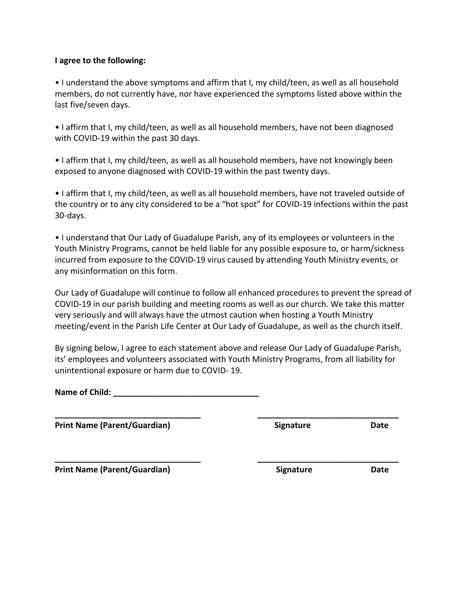#### **I agree to the following:**

• I understand the above symptoms and affirm that I, my child/teen, as well as all household members, do not currently have, nor have experienced the symptoms listed above within the last five/seven days.

• I affirm that I, my child/teen, as well as all household members, have not been diagnosed with COVID-19 within the past 30 days.

• I affirm that I, my child/teen, as well as all household members, have not knowingly been exposed to anyone diagnosed with COVID-19 within the past twenty days.

• I affirm that I, my child/teen, as well as all household members, have not traveled outside of the country or to any city considered to be a "hot spot" for COVID-19 infections within the past 30-days.

• I understand that Our Lady of Guadalupe Parish, any of its employees or volunteers in the Youth Ministry Programs, cannot be held liable for any possible exposure to, or harm/sickness incurred from exposure to the COVID-19 virus caused by attending Youth Ministry events, or any misinformation on this form.

Our Lady of Guadalupe will continue to follow all enhanced procedures to prevent the spread of COVID-19 in our parish building and meeting rooms as well as our church. We take this matter very seriously and will always have the utmost caution when hosting a Youth Ministry meeting/event in the Parish Life Center at Our Lady of Guadalupe, as well as the church itself.

By signing below, I agree to each statement above and release Our Lady of Guadalupe Parish, its' employees and volunteers associated with Youth Ministry Programs, from all liability for unintentional exposure or harm due to COVID- 19.

**\_\_\_\_\_\_\_\_\_\_\_\_\_\_\_\_\_\_\_\_\_\_\_\_\_\_\_\_\_\_\_\_ \_\_\_\_\_\_\_\_\_\_\_\_\_\_\_\_\_\_\_\_\_\_\_\_\_\_\_\_\_\_\_**

**\_\_\_\_\_\_\_\_\_\_\_\_\_\_\_\_\_\_\_\_\_\_\_\_\_\_\_\_\_\_\_\_ \_\_\_\_\_\_\_\_\_\_\_\_\_\_\_\_\_\_\_\_\_\_\_\_\_\_\_\_\_\_\_**

**Name of Child: \_\_\_\_\_\_\_\_\_\_\_\_\_\_\_\_\_\_\_\_\_\_\_\_\_\_\_\_\_\_\_\_**

**Print Name (Parent/Guardian) Signature Date**

Print Name (Parent/Guardian) **Signature** Signature Date